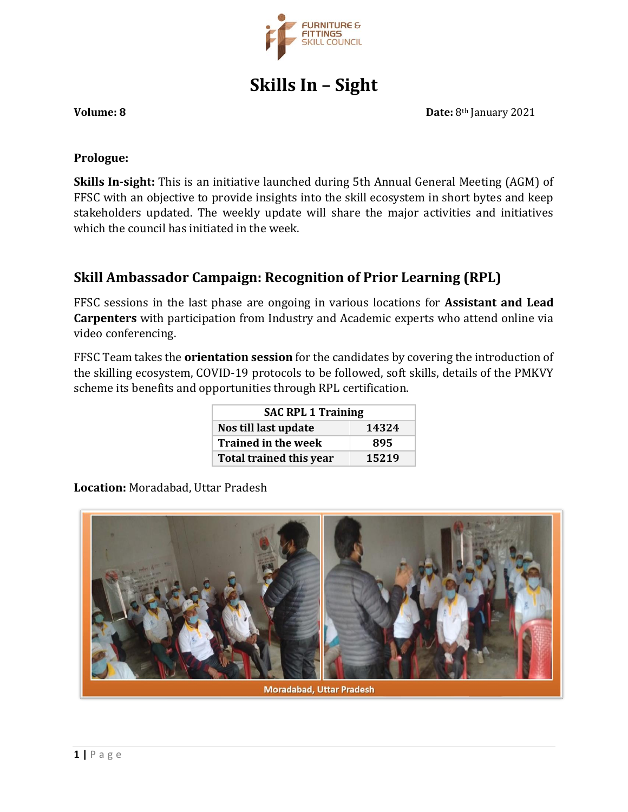

**Skills In – Sight**

#### **Volume: 8 Date:** 8th January 2021

## **Prologue:**

**Skills In-sight:** This is an initiative launched during 5th Annual General Meeting (AGM) of FFSC with an objective to provide insights into the skill ecosystem in short bytes and keep stakeholders updated. The weekly update will share the major activities and initiatives which the council has initiated in the week.

## **Skill Ambassador Campaign: Recognition of Prior Learning (RPL)**

FFSC sessions in the last phase are ongoing in various locations for **Assistant and Lead Carpenters** with participation from Industry and Academic experts who attend online via video conferencing.

FFSC Team takes the **orientation session** for the candidates by covering the introduction of the skilling ecosystem, COVID-19 protocols to be followed, soft skills, details of the PMKVY scheme its benefits and opportunities through RPL certification.

| <b>SAC RPL 1 Training</b>      |       |
|--------------------------------|-------|
| Nos till last update           | 14324 |
| <b>Trained in the week</b>     | 895   |
| <b>Total trained this year</b> | 15219 |

**Location:** Moradabad, Uttar Pradesh

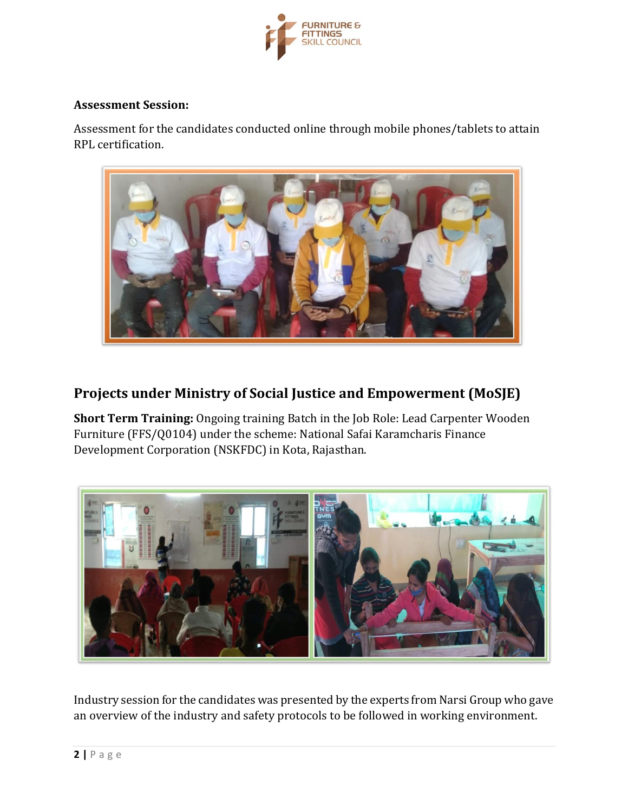

### **Assessment Session:**

Assessment for the candidates conducted online through mobile phones/tablets to attain RPL certification.



# **Projects under Ministry of Social Justice and Empowerment (MoSJE)**

**Short Term Training:** Ongoing training Batch in the Job Role: Lead Carpenter Wooden Furniture (FFS/Q0104) under the scheme: National Safai Karamcharis Finance Development Corporation (NSKFDC) in Kota, Rajasthan.



Industry session for the candidates was presented by the experts from Narsi Group who gave an overview of the industry and safety protocols to be followed in working environment.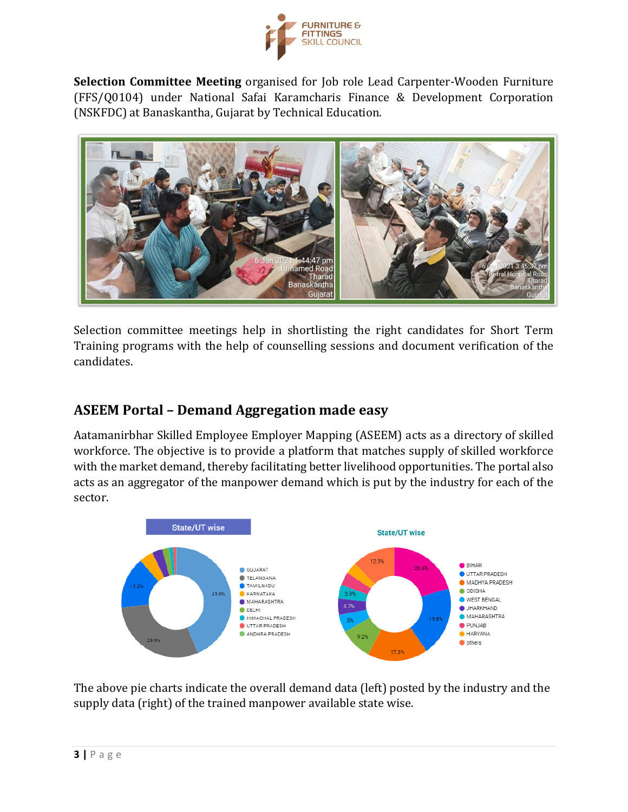

**Selection Committee Meeting** organised for Job role Lead Carpenter-Wooden Furniture (FFS/Q0104) under National Safai Karamcharis Finance & Development Corporation (NSKFDC) at Banaskantha, Gujarat by Technical Education.



Selection committee meetings help in shortlisting the right candidates for Short Term Training programs with the help of counselling sessions and document verification of the candidates.

# **ASEEM Portal – Demand Aggregation made easy**

Aatamanirbhar Skilled Employee Employer Mapping (ASEEM) acts as a directory of skilled workforce. The objective is to provide a platform that matches supply of skilled workforce with the market demand, thereby facilitating better livelihood opportunities. The portal also acts as an aggregator of the manpower demand which is put by the industry for each of the sector.



The above pie charts indicate the overall demand data (left) posted by the industry and the supply data (right) of the trained manpower available state wise.